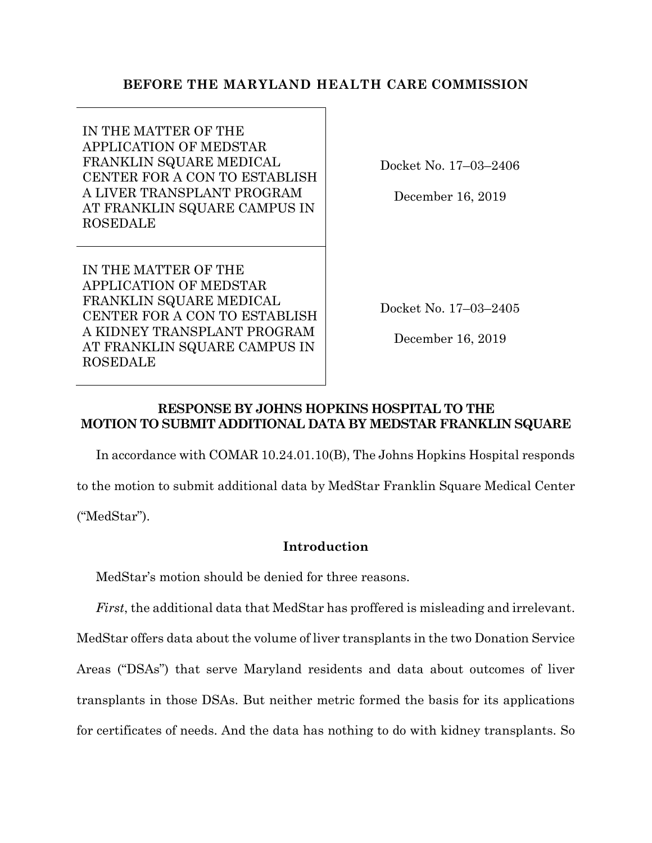# **BEFORE THE MARYLAND HEALTH CARE COMMISSION**

IN THE MATTER OF THE APPLICATION OF MEDSTAR FRANKLIN SQUARE MEDICAL CENTER FOR A CON TO ESTABLISH A LIVER TRANSPLANT PROGRAM AT FRANKLIN SQUARE CAMPUS IN ROSEDALE

Docket No. 17–03–2406

December 16, 2019

IN THE MATTER OF THE APPLICATION OF MEDSTAR FRANKLIN SQUARE MEDICAL CENTER FOR A CON TO ESTABLISH A KIDNEY TRANSPLANT PROGRAM AT FRANKLIN SQUARE CAMPUS IN ROSEDALE

Docket No. 17–03–2405

December 16, 2019

## **RESPONSE BY JOHNS HOPKINS HOSPITAL TO THE MOTION TO SUBMIT ADDITIONAL DATA BY MEDSTAR FRANKLIN SQUARE**

In accordance with COMAR 10.24.01.10(B), The Johns Hopkins Hospital responds to the motion to submit additional data by MedStar Franklin Square Medical Center

("MedStar").

# **Introduction**

MedStar's motion should be denied for three reasons.

*First*, the additional data that MedStar has proffered is misleading and irrelevant. MedStar offers data about the volume of liver transplants in the two Donation Service Areas ("DSAs") that serve Maryland residents and data about outcomes of liver transplants in those DSAs. But neither metric formed the basis for its applications for certificates of needs. And the data has nothing to do with kidney transplants. So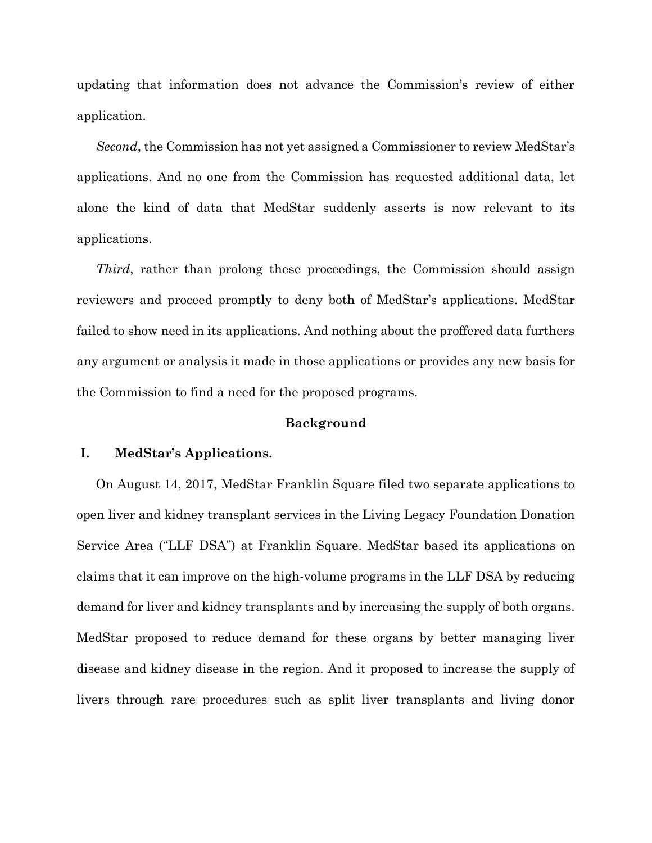updating that information does not advance the Commission's review of either application.

*Second*, the Commission has not yet assigned a Commissioner to review MedStar's applications. And no one from the Commission has requested additional data, let alone the kind of data that MedStar suddenly asserts is now relevant to its applications.

*Third*, rather than prolong these proceedings, the Commission should assign reviewers and proceed promptly to deny both of MedStar's applications. MedStar failed to show need in its applications. And nothing about the proffered data furthers any argument or analysis it made in those applications or provides any new basis for the Commission to find a need for the proposed programs.

### **Background**

## **I. MedStar's Applications.**

On August 14, 2017, MedStar Franklin Square filed two separate applications to open liver and kidney transplant services in the Living Legacy Foundation Donation Service Area ("LLF DSA") at Franklin Square. MedStar based its applications on claims that it can improve on the high-volume programs in the LLF DSA by reducing demand for liver and kidney transplants and by increasing the supply of both organs. MedStar proposed to reduce demand for these organs by better managing liver disease and kidney disease in the region. And it proposed to increase the supply of livers through rare procedures such as split liver transplants and living donor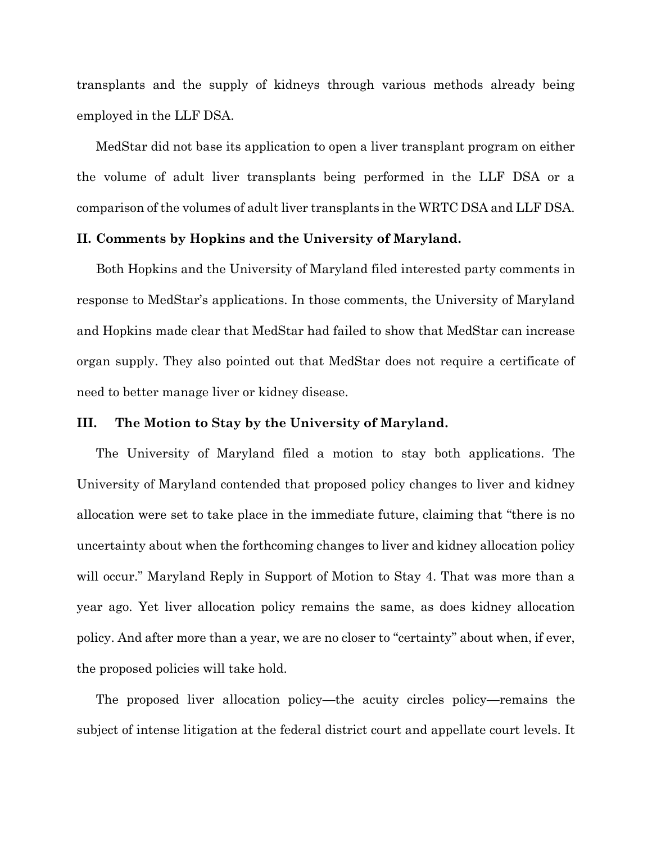transplants and the supply of kidneys through various methods already being employed in the LLF DSA.

MedStar did not base its application to open a liver transplant program on either the volume of adult liver transplants being performed in the LLF DSA or a comparison of the volumes of adult liver transplants in the WRTC DSA and LLF DSA.

### **II. Comments by Hopkins and the University of Maryland.**

Both Hopkins and the University of Maryland filed interested party comments in response to MedStar's applications. In those comments, the University of Maryland and Hopkins made clear that MedStar had failed to show that MedStar can increase organ supply. They also pointed out that MedStar does not require a certificate of need to better manage liver or kidney disease.

### **III. The Motion to Stay by the University of Maryland.**

The University of Maryland filed a motion to stay both applications. The University of Maryland contended that proposed policy changes to liver and kidney allocation were set to take place in the immediate future, claiming that "there is no uncertainty about when the forthcoming changes to liver and kidney allocation policy will occur." Maryland Reply in Support of Motion to Stay 4. That was more than a year ago. Yet liver allocation policy remains the same, as does kidney allocation policy. And after more than a year, we are no closer to "certainty" about when, if ever, the proposed policies will take hold.

The proposed liver allocation policy—the acuity circles policy—remains the subject of intense litigation at the federal district court and appellate court levels. It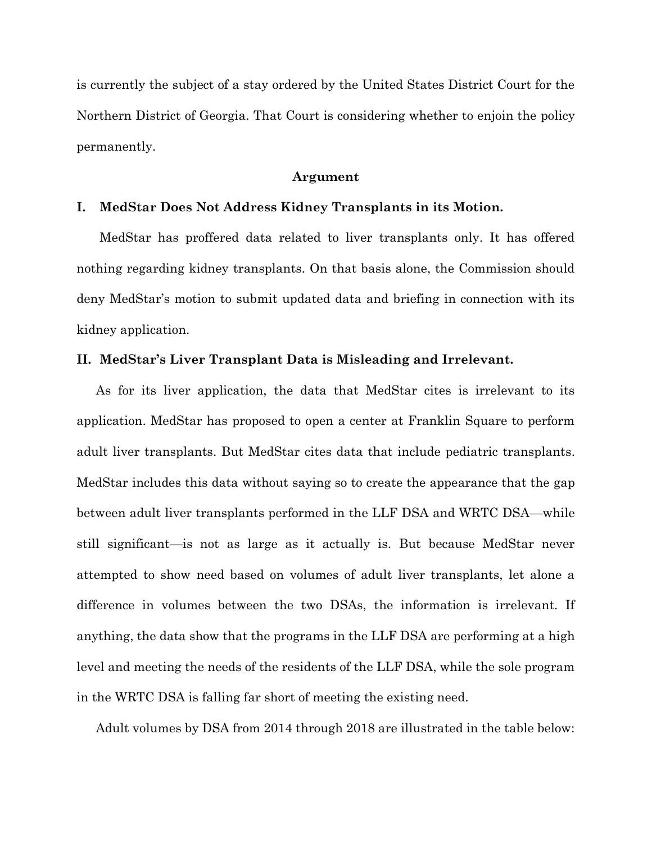is currently the subject of a stay ordered by the United States District Court for the Northern District of Georgia. That Court is considering whether to enjoin the policy permanently.

#### **Argument**

#### **I. MedStar Does Not Address Kidney Transplants in its Motion.**

MedStar has proffered data related to liver transplants only. It has offered nothing regarding kidney transplants. On that basis alone, the Commission should deny MedStar's motion to submit updated data and briefing in connection with its kidney application.

### **II. MedStar's Liver Transplant Data is Misleading and Irrelevant.**

As for its liver application, the data that MedStar cites is irrelevant to its application. MedStar has proposed to open a center at Franklin Square to perform adult liver transplants. But MedStar cites data that include pediatric transplants. MedStar includes this data without saying so to create the appearance that the gap between adult liver transplants performed in the LLF DSA and WRTC DSA—while still significant—is not as large as it actually is. But because MedStar never attempted to show need based on volumes of adult liver transplants, let alone a difference in volumes between the two DSAs, the information is irrelevant. If anything, the data show that the programs in the LLF DSA are performing at a high level and meeting the needs of the residents of the LLF DSA, while the sole program in the WRTC DSA is falling far short of meeting the existing need.

Adult volumes by DSA from 2014 through 2018 are illustrated in the table below: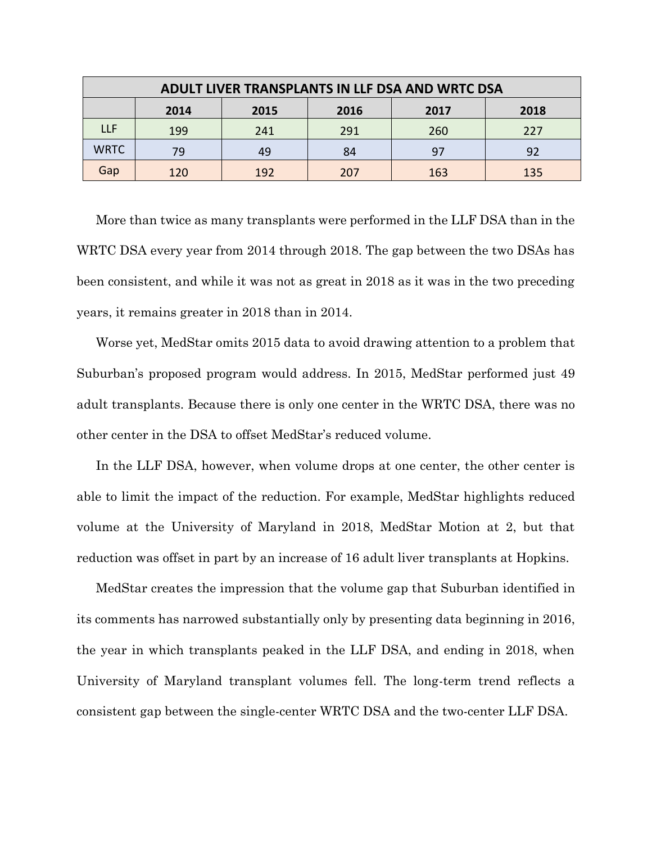| ADULT LIVER TRANSPLANTS IN LLF DSA AND WRTC DSA |      |      |      |      |      |
|-------------------------------------------------|------|------|------|------|------|
|                                                 | 2014 | 2015 | 2016 | 2017 | 2018 |
| <b>LLF</b>                                      | 199  | 241  | 291  | 260  | 227  |
| <b>WRTC</b>                                     | 79   | 49   | 84   | 97   | 92   |
| Gap                                             | 120  | 192  | 207  | 163  | 135  |

More than twice as many transplants were performed in the LLF DSA than in the WRTC DSA every year from 2014 through 2018. The gap between the two DSAs has been consistent, and while it was not as great in 2018 as it was in the two preceding years, it remains greater in 2018 than in 2014.

Worse yet, MedStar omits 2015 data to avoid drawing attention to a problem that Suburban's proposed program would address. In 2015, MedStar performed just 49 adult transplants. Because there is only one center in the WRTC DSA, there was no other center in the DSA to offset MedStar's reduced volume.

In the LLF DSA, however, when volume drops at one center, the other center is able to limit the impact of the reduction. For example, MedStar highlights reduced volume at the University of Maryland in 2018, MedStar Motion at 2, but that reduction was offset in part by an increase of 16 adult liver transplants at Hopkins.

MedStar creates the impression that the volume gap that Suburban identified in its comments has narrowed substantially only by presenting data beginning in 2016, the year in which transplants peaked in the LLF DSA, and ending in 2018, when University of Maryland transplant volumes fell. The long-term trend reflects a consistent gap between the single-center WRTC DSA and the two-center LLF DSA.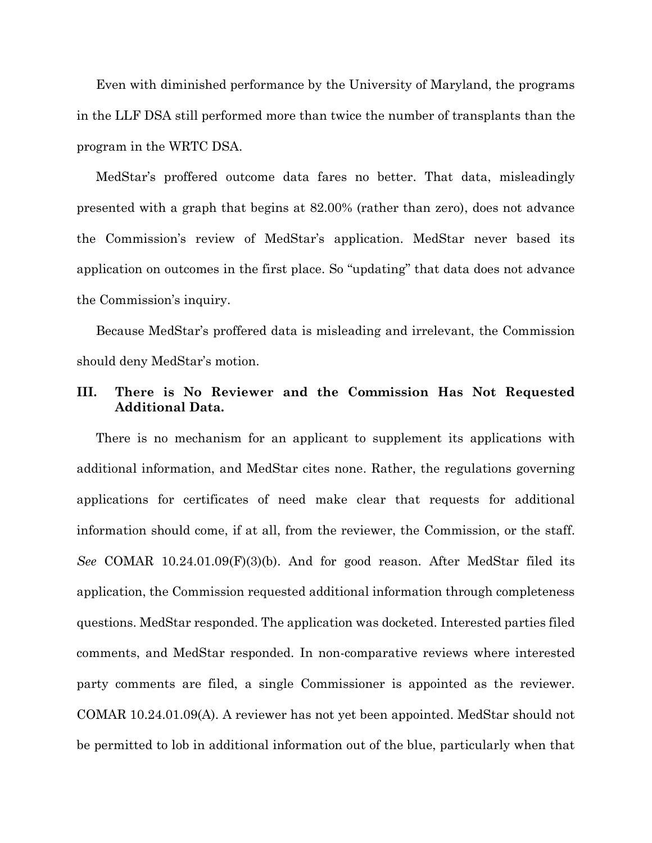Even with diminished performance by the University of Maryland, the programs in the LLF DSA still performed more than twice the number of transplants than the program in the WRTC DSA.

MedStar's proffered outcome data fares no better. That data, misleadingly presented with a graph that begins at 82.00% (rather than zero), does not advance the Commission's review of MedStar's application. MedStar never based its application on outcomes in the first place. So "updating" that data does not advance the Commission's inquiry.

Because MedStar's proffered data is misleading and irrelevant, the Commission should deny MedStar's motion.

## **III. There is No Reviewer and the Commission Has Not Requested Additional Data.**

There is no mechanism for an applicant to supplement its applications with additional information, and MedStar cites none. Rather, the regulations governing applications for certificates of need make clear that requests for additional information should come, if at all, from the reviewer, the Commission, or the staff. *See* COMAR 10.24.01.09(F)(3)(b). And for good reason. After MedStar filed its application, the Commission requested additional information through completeness questions. MedStar responded. The application was docketed. Interested parties filed comments, and MedStar responded. In non-comparative reviews where interested party comments are filed, a single Commissioner is appointed as the reviewer. COMAR 10.24.01.09(A). A reviewer has not yet been appointed. MedStar should not be permitted to lob in additional information out of the blue, particularly when that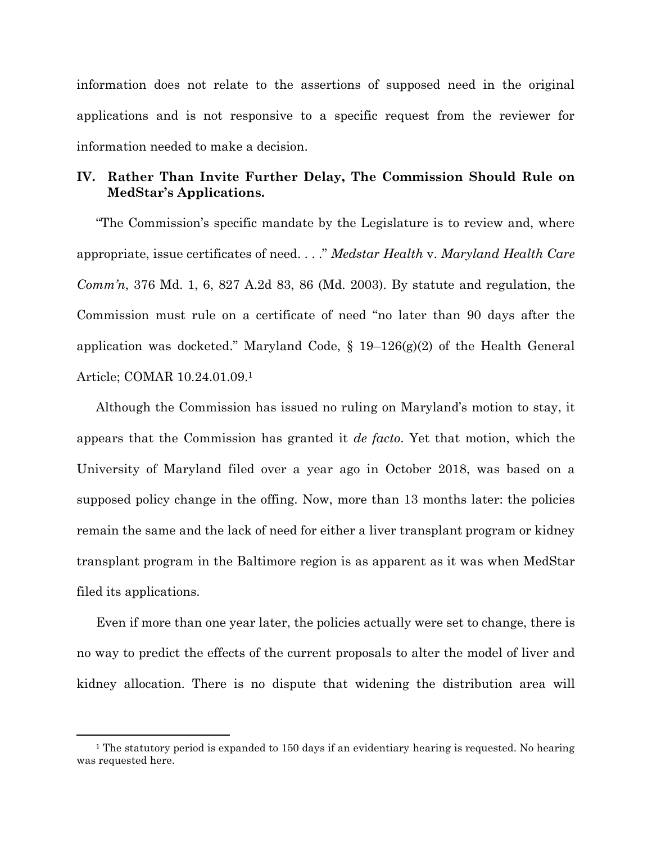information does not relate to the assertions of supposed need in the original applications and is not responsive to a specific request from the reviewer for information needed to make a decision.

# **IV. Rather Than Invite Further Delay, The Commission Should Rule on MedStar's Applications.**

"The Commission's specific mandate by the Legislature is to review and, where appropriate, issue certificates of need. . . ." *Medstar Health* v. *Maryland Health Care Comm'n*, 376 Md. 1, 6, 827 A.2d 83, 86 (Md. 2003). By statute and regulation, the Commission must rule on a certificate of need "no later than 90 days after the application was docketed." Maryland Code, § 19–126(g)(2) of the Health General Article; COMAR 10.24.01.09. 1

Although the Commission has issued no ruling on Maryland's motion to stay, it appears that the Commission has granted it *de facto*. Yet that motion, which the University of Maryland filed over a year ago in October 2018, was based on a supposed policy change in the offing. Now, more than 13 months later: the policies remain the same and the lack of need for either a liver transplant program or kidney transplant program in the Baltimore region is as apparent as it was when MedStar filed its applications.

Even if more than one year later, the policies actually were set to change, there is no way to predict the effects of the current proposals to alter the model of liver and kidney allocation. There is no dispute that widening the distribution area will

<sup>&</sup>lt;sup>1</sup> The statutory period is expanded to 150 days if an evidentiary hearing is requested. No hearing was requested here.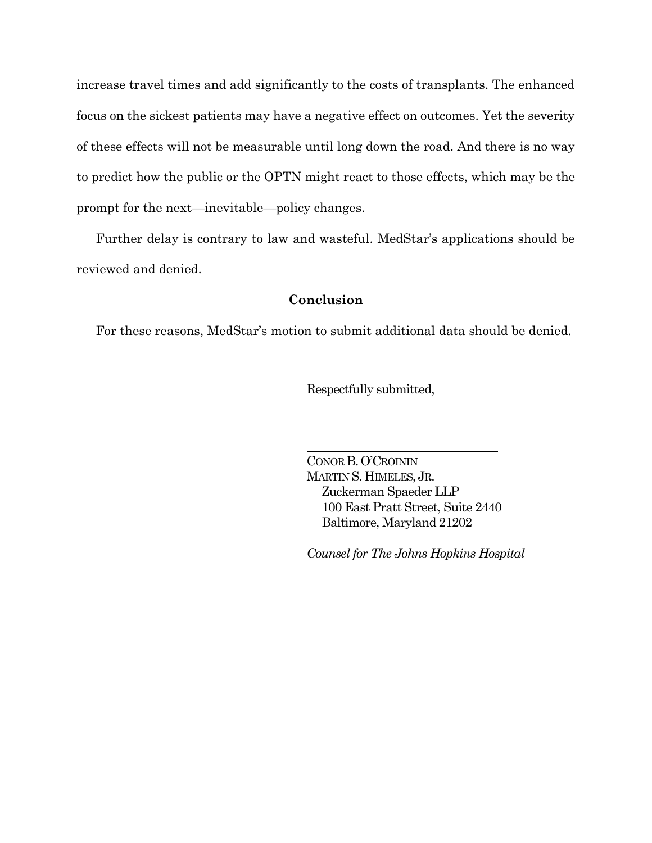increase travel times and add significantly to the costs of transplants. The enhanced focus on the sickest patients may have a negative effect on outcomes. Yet the severity of these effects will not be measurable until long down the road. And there is no way to predict how the public or the OPTN might react to those effects, which may be the prompt for the next—inevitable—policy changes.

Further delay is contrary to law and wasteful. MedStar's applications should be reviewed and denied.

## **Conclusion**

For these reasons, MedStar's motion to submit additional data should be denied.

Respectfully submitted,

CONOR B.O'CROININ MARTIN S. HIMELES, JR. Zuckerman Spaeder LLP 100 East Pratt Street, Suite 2440 Baltimore, Maryland 21202

*Counsel for The Johns Hopkins Hospital*